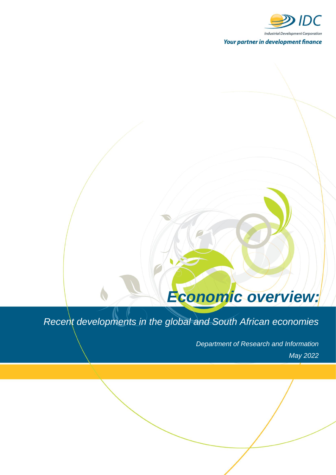

# *Economic overview:*

# *Recent developments in the global and South African economies*

*Department of Research and Information May 2022*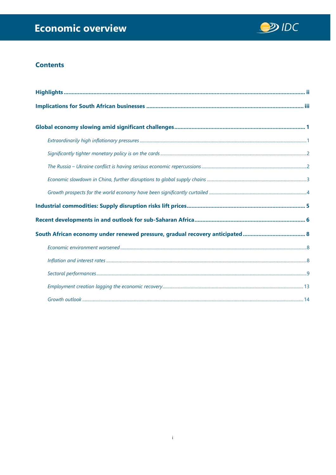

# **Contents**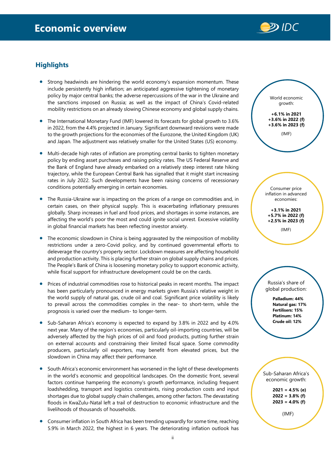

# <span id="page-2-0"></span>**Highlights**

- Strong headwinds are hindering the world economy's expansion momentum. These include persistently high inflation; an anticipated aggressive tightening of monetary policy by major central banks; the adverse repercussions of the war in the Ukraine and the sanctions imposed on Russia; as well as the impact of China's Covid-related mobility restrictions on an already slowing Chinese economy and global supply chains.
- The International Monetary Fund (IMF) lowered its forecasts for global growth to 3.6% in 2022, from the 4.4% projected in January. Significant downward revisions were made to the growth projections for the economies of the Eurozone, the United Kingdom (UK) and Japan. The adjustment was relatively smaller for the United States (US) economy.
- Multi-decade high rates of inflation are prompting central banks to tighten monetary policy by ending asset purchases and raising policy rates. The US Federal Reserve and the Bank of England have already embarked on a relatively steep interest rate hiking trajectory, while the European Central Bank has signalled that it might start increasing rates in July 2022. Such developments have been raising concerns of recessionary conditions potentially emerging in certain economies.
- The Russia-Ukraine war is impacting on the prices of a range on commodities and, in certain cases, on their physical supply. This is exacerbating inflationary pressures globally. Sharp increases in fuel and food prices, and shortages in some instances, are affecting the world's poor the most and could ignite social unrest. Excessive volatility in global financial markets has been reflecting investor anxiety.
- The economic slowdown in China is being aggravated by the reimposition of mobility restrictions under a zero-Covid policy, and by continued governmental efforts to deleverage the country's property sector. Lockdown measures are affecting household and production activity. This is placing further strain on global supply chains and prices. The People's Bank of China is loosening monetary policy to support economic activity, while fiscal support for infrastructure development could be on the cards.
- Prices of industrial commodities rose to historical peaks in recent months. The impact has been particularly pronounced in energy markets given Russia's relative weight in the world supply of natural gas, crude oil and coal. Significant price volatility is likely to prevail across the commodities complex in the near- to short-term, while the prognosis is varied over the medium- to longer-term.
- Sub-Saharan Africa's economy is expected to expand by 3.8% in 2022 and by 4.0% next year. Many of the region's economies, particularly oil-importing countries, will be adversely affected by the high prices of oil and food products, putting further strain on external accounts and constraining their limited fiscal space. Some commodity producers, particularly oil exporters, may benefit from elevated prices, but the slowdown in China may affect their performance.
- South Africa's economic environment has worsened in the light of these developments in the world's economic and geopolitical landscapes. On the domestic front, several factors continue hampering the economy's growth performance, including frequent loadshedding, transport and logistics constraints, rising production costs and input shortages due to global supply chain challenges, among other factors. The devastating floods in KwaZulu-Natal left a trail of destruction to economic infrastructure and the livelihoods of thousands of households.
- Consumer inflation in South Africa has been trending upwardly for some time, reaching 5.9% in March 2022, the highest in 6 years. The deteriorating inflation outlook has



**2021 = 4.5% (e) 2022 = 3.8% (f) 2023 = 4.0% (f)**

(IMF)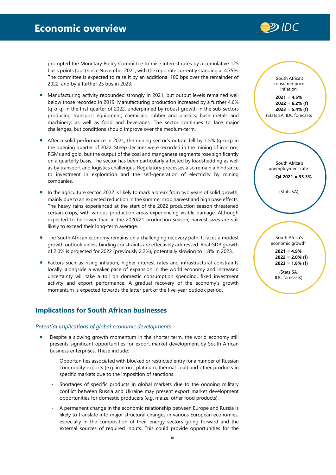

prompted the Monetary Policy Committee to raise interest rates by a cumulative 125 basis points (bps) since November 2021, with the repo rate currently standing at 4.75%. The committee is expected to raise it by an additional 100 bps over the remainder of 2022, and by a further 25 bps in 2023.

- Manufacturing activity rebounded strongly in 2021, but output levels remained well below those recorded in 2019. Manufacturing production increased by a further 4.6% (q-o-q) in the first quarter of 2022, underpinned by robust growth in the sub-sectors producing transport equipment; chemicals, rubber and plastics; base metals and machinery; as well as food and beverages. The sector continues to face major challenges, but conditions should improve over the medium-term.
- After a solid performance in 2021, the mining sector's output fell by 1.5% (q-o-q) in the opening quarter of 2022. Steep declines were recorded in the mining of iron ore, PGMs and gold, but the output of the coal and manganese segments rose significantly on a quarterly basis. The sector has been particularly affected by loadshedding as well as by transport and logistics challenges. Regulatory processes also remain a hindrance to investment in exploration and the self-generation of electricity by mining companies.
- In the agriculture sector, 2022 is likely to mark a break from two years of solid growth, mainly due to an expected reduction in the summer crop harvest and high base effects. The heavy rains experienced at the start of the 2022 production season threatened certain crops, with various production areas experiencing visible damage. Although expected to be lower than in the 2020/21 production season, harvest sizes are still likely to exceed their long-term average.
- The South African economy remains on a challenging recovery path. It faces a modest growth outlook unless binding constraints are effectively addressed. Real GDP growth of 2.0% is projected for 2022 (previously 2.2%), potentially slowing to 1.8% in 2023.
- Factors such as rising inflation, higher interest rates and infrastructural constraints locally, alongside a weaker pace of expansion in the world economy and increased uncertainty will take a toll on domestic consumption spending, fixed investment activity and export performance. A gradual recovery of the economy's growth momentum is expected towards the latter part of the five-year outlook period.

# <span id="page-3-0"></span>**Implications for South African businesses**

# *Potential implications of global economic developments*

- Despite a slowing growth momentum in the shorter term, the world economy still presents significant opportunities for export market development by South African business enterprises. These include:
	- Opportunities associated with blocked or restricted entry for a number of Russian commodity exports (e.g. iron ore, platinum, thermal coal) and other products in specific markets due to the imposition of sanctions.
	- Shortages of specific products in global markets due to the ongoing military conflict between Russia and Ukraine may present export market development opportunities for domestic producers (e.g. maize, other food products).
	- A permanent change in the economic relationship between Europe and Russia is likely to translate into major structural changes in various European economies, especially in the composition of their energy sectors going forward and the external sources of required inputs. This could provide opportunities for the

South Africa's consumer price inflation: **2021 = 4.5%**

**2022 = 6.2% (f) 2023 = 5.4% (f)** (Stats SA, IDC forecasts

South Africa's unemployment rate:

**Q4 2021 = 35.3%**

(Stats SA)

South Africa's economic growth: **2021 = 4.9% 2022 = 2.0% (f) 2023 = 1.8% (f)**

(Stats SA, IDC forecasts)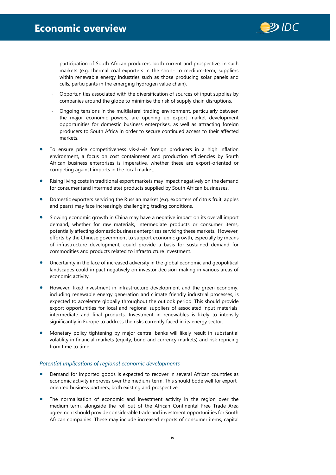

participation of South African producers, both current and prospective, in such markets (e.g. thermal coal exporters in the short- to medium-term, suppliers within renewable energy industries such as those producing solar panels and cells, participants in the emerging hydrogen value chain).

- Opportunities associated with the diversification of sources of input supplies by companies around the globe to minimise the risk of supply chain disruptions.
- Ongoing tensions in the multilateral trading environment, particularly between the major economic powers, are opening up export market development opportunities for domestic business enterprises, as well as attracting foreign producers to South Africa in order to secure continued access to their affected markets.
- To ensure price competitiveness vis-à-vis foreign producers in a high inflation environment, a focus on cost containment and production efficiencies by South African business enterprises is imperative, whether these are export-oriented or competing against imports in the local market.
- Rising living costs in traditional export markets may impact negatively on the demand for consumer (and intermediate) products supplied by South African businesses.
- Domestic exporters servicing the Russian market (e.g. exporters of citrus fruit, apples and pears) may face increasingly challenging trading conditions.
- Slowing economic growth in China may have a negative impact on its overall import demand, whether for raw materials, intermediate products or consumer items, potentially affecting domestic business enterprises servicing these markets. However, efforts by the Chinese government to support economic growth, especially by means of infrastructure development, could provide a basis for sustained demand for commodities and products related to infrastructure investment.
- Uncertainty in the face of increased adversity in the global economic and geopolitical landscapes could impact negatively on investor decision-making in various areas of economic activity.
- However, fixed investment in infrastructure development and the green economy, including renewable energy generation and climate friendly industrial processes, is expected to accelerate globally throughout the outlook period. This should provide export opportunities for local and regional suppliers of associated input materials, intermediate and final products. Investment in renewables is likely to intensify significantly in Europe to address the risks currently faced in its energy sector.
- Monetary policy tightening by major central banks will likely result in substantial volatility in financial markets (equity, bond and currency markets) and risk repricing from time to time.

# *Potential implications of regional economic developments*

- Demand for imported goods is expected to recover in several African countries as economic activity improves over the medium-term. This should bode well for exportoriented business partners, both existing and prospective.
- The normalisation of economic and investment activity in the region over the medium-term, alongside the roll-out of the African Continental Free Trade Area agreement should provide considerable trade and investment opportunities for South African companies. These may include increased exports of consumer items, capital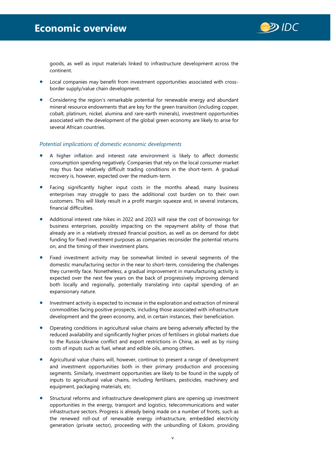

goods, as well as input materials linked to infrastructure development across the continent.

- Local companies may benefit from investment opportunities associated with crossborder supply/value chain development.
- Considering the region's remarkable potential for renewable energy and abundant mineral resource endowments that are key for the green transition (including copper, cobalt, platinum, nickel, alumina and rare-earth minerals), investment opportunities associated with the development of the global green economy are likely to arise for several African countries.

# *Potential implications of domestic economic developments*

- A higher inflation and interest rate environment is likely to affect domestic consumption spending negatively. Companies that rely on the local consumer market may thus face relatively difficult trading conditions in the short-term. A gradual recovery is, however, expected over the medium-term.
- Facing significantly higher input costs in the months ahead, many business enterprises may struggle to pass the additional cost burden on to their own customers. This will likely result in a profit margin squeeze and, in several instances, financial difficulties.
- Additional interest rate hikes in 2022 and 2023 will raise the cost of borrowings for business enterprises, possibly impacting on the repayment ability of those that already are in a relatively stressed financial position, as well as on demand for debt funding for fixed investment purposes as companies reconsider the potential returns on, and the timing of their investment plans.
- Fixed investment activity may be somewhat limited in several segments of the domestic manufacturing sector in the near to short-term, considering the challenges they currently face. Nonetheless, a gradual improvement in manufacturing activity is expected over the next few years on the back of progressively improving demand both locally and regionally, potentially translating into capital spending of an expansionary nature.
- Investment activity is expected to increase in the exploration and extraction of mineral commodities facing positive prospects, including those associated with infrastructure development and the green economy, and, in certain instances, their beneficiation.
- Operating conditions in agricultural value chains are being adversely affected by the reduced availability and significantly higher prices of fertilisers in global markets due to the Russia-Ukraine conflict and export restrictions in China, as well as by rising costs of inputs such as fuel, wheat and edible oils, among others.
- Agricultural value chains will, however, continue to present a range of development and investment opportunities both in their primary production and processing segments. Similarly, investment opportunities are likely to be found in the supply of inputs to agricultural value chains, including fertilisers, pesticides, machinery and equipment, packaging materials, etc.
- Structural reforms and infrastructure development plans are opening up investment opportunities in the energy, transport and logistics, telecommunications and water infrastructure sectors. Progress is already being made on a number of fronts, such as the renewed roll-out of renewable energy infrastructure, embedded electricity generation (private sector), proceeding with the unbundling of Eskom, providing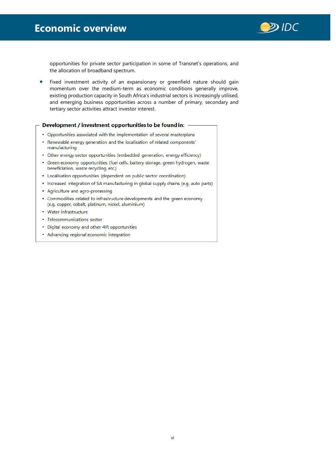

opportunities for private sector participation in some of Transnet's operations, and the allocation of broadband spectrum.

Fixed investment activity of an expansionary or greenfield nature should gain momentum over the medium-term as economic conditions generally improve, existing production capacity in South Africa's industrial sectors is increasingly utilised, and emerging business opportunities across a number of primary, secondary and tertiary sector activities attract investor interest.

#### Development / investment opportunities to be found in:

- Opportunities associated with the implementation of several masterplans
- Renewable energy generation and the localisation of related components'  $\mathbf{r}$ manufacturing
- Other energy sector opportunities (embedded generation, energy efficiency)
- Green economy opportunities (fuel cells, battery storage, green hydrogen, waste  $\bullet$ beneficiation, waste recycling, etc.)
- Localisation opportunities (dependent on public sector coordination)
- Increased integration of SA manufacturing in global supply chains (e.g. auto parts)
- Agriculture and agro-processing
- Commodities related to infrastructure developments and the green economy (e.g. copper, cobalt, platinum, nickel, aluminium)
- Water infrastructure
- Telecommunications sector
- Digital economy and other 4IR opportunities
- Advancing regional economic integration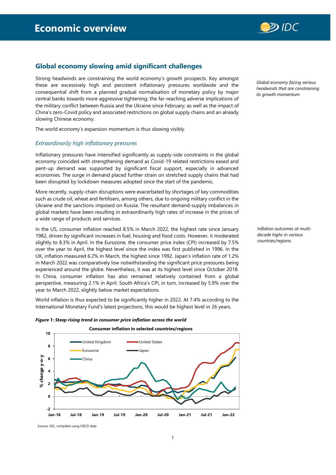

# <span id="page-7-0"></span>**Global economy slowing amid significant challenges**

Strong headwinds are constraining the world economy's growth prospects. Key amongst these are excessively high and persistent inflationary pressures worldwide and the consequential shift from a planned gradual normalisation of monetary policy by major central banks towards more aggressive tightening; the far-reaching adverse implications of the military conflict between Russia and the Ukraine since February; as well as the impact of China's zero-Covid policy and associated restrictions on global supply chains and an already slowing Chinese economy.

The world economy's expansion momentum is thus slowing visibly.

### <span id="page-7-1"></span>*Extraordinarily high inflationary pressures*

Inflationary pressures have intensified significantly as supply-side constraints in the global economy coincided with strengthening demand as Covid-19 related restrictions eased and pent-up demand was supported by significant fiscal support, especially in advanced economies. The surge in demand placed further strain on stretched supply chains that had been disrupted by lockdown measures adopted since the start of the pandemic.

More recently, supply-chain disruptions were exacerbated by shortages of key commodities such as crude oil, wheat and fertilisers, among others, due to ongoing military conflict in the Ukraine and the sanctions imposed on Russia. The resultant demand-supply imbalances in global markets have been resulting in extraordinarily high rates of increase in the prices of a wide range of products and services.

In the US, consumer inflation reached 8.5% in March 2022, the highest rate since January 1982, driven by significant increases in fuel, housing and food costs. However, it moderated slightly to 8.3% in April. In the Eurozone, the consumer price index (CPI) increased by 7.5% over the year to April, the highest level since the index was first published in 1996. In the UK, inflation measured 6.2% in March, the highest since 1992. Japan's inflation rate of 1.2% in March 2022 was comparatively low notwithstanding the significant price pressures being experienced around the globe. Nevertheless, it was at its highest level since October 2018. In China, consumer inflation has also remained relatively contained from a global perspective, measuring 2.1% in April. South Africa's CPI, in turn, increased by 5.9% over the year to March 2022, slightly below market expectations.

World inflation is thus expected to be significantly higher in 2022. At 7.4% according to the International Monetary Fund's latest projections, this would be highest level in 26 years.





*Global economy facing serious headwinds that are constraining its growth momentum*

*Inflation outcomes at multidecade highs in various countries/regions.*

Source: IDC, compiled using OECD data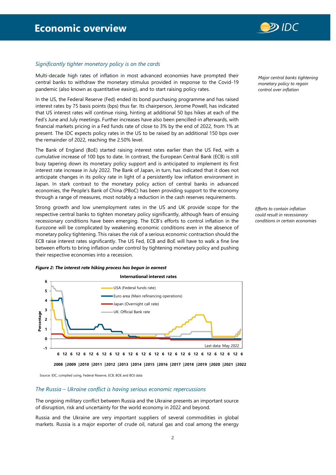

# <span id="page-8-0"></span>*Significantly tighter monetary policy is on the cards*

Multi-decade high rates of inflation in most advanced economies have prompted their central banks to withdraw the monetary stimulus provided in response to the Covid-19 pandemic (also known as quantitative easing), and to start raising policy rates.

In the US, the Federal Reserve (Fed) ended its bond purchasing programme and has raised interest rates by 75 basis points (bps) thus far. Its chairperson, Jerome Powell, has indicated that US interest rates will continue rising, hinting at additional 50 bps hikes at each of the Fed's June and July meetings. Further increases have also been pencilled-in afterwards, with financial markets pricing in a Fed funds rate of close to 3% by the end of 2022, from 1% at present. The IDC expects policy rates in the US to be raised by an additional 150 bps over the remainder of 2022, reaching the 2.50% level.

The Bank of England (BoE) started raising interest rates earlier than the US Fed, with a cumulative increase of 100 bps to date. In contrast, the European Central Bank (ECB) is still busy tapering down its monetary policy support and is anticipated to implement its first interest rate increase in July 2022. The Bank of Japan, in turn, has indicated that it does not anticipate changes in its policy rate in light of a persistently low inflation environment in Japan. In stark contrast to the monetary policy action of central banks in advanced economies, the People's Bank of China (PBoC) has been providing support to the economy through a range of measures, most notably a reduction in the cash reserves requirements.

Strong growth and low unemployment rates in the US and UK provide scope for the respective central banks to tighten monetary policy significantly, although fears of ensuing recessionary conditions have been emerging. The ECB's efforts to control inflation in the Eurozone will be complicated by weakening economic conditions even in the absence of monetary policy tightening. This raises the risk of a serious economic contraction should the ECB raise interest rates significantly. The US Fed, ECB and BoE will have to walk a fine line between efforts to bring inflation under control by tightening monetary policy and pushing their respective economies into a recession.





2008 |2009 |2010 |2011 |2012 |2013 |2014 |2015 |2016 |2017 |2018 |2019 |2020 |2021 |2022

Source: IDC, compiled using, Federal Reserve, ECB, BOE and BOJ data

#### <span id="page-8-1"></span>*The Russia – Ukraine conflict is having serious economic repercussions*

The ongoing military conflict between Russia and the Ukraine presents an important source of disruption, risk and uncertainty for the world economy in 2022 and beyond.

Russia and the Ukraine are very important suppliers of several commodities in global markets. Russia is a major exporter of crude oil, natural gas and coal among the energy *Major central banks tightening monetary policy to regain control over inflation*

*Efforts to contain inflation could result in recessionary conditions in certain economies*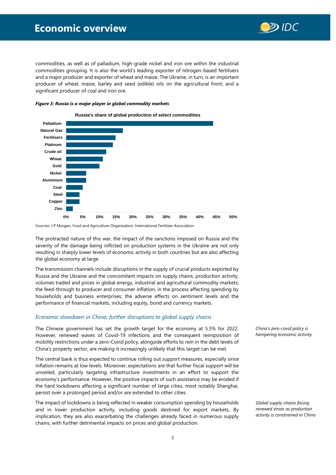# **Economic overview**



commodities, as well as of palladium, high-grade nickel and iron ore within the industrial commodities grouping. It is also the world's leading exporter of nitrogen-based fertilisers and a major producer and exporter of wheat and maize. The Ukraine, in turn, is an important producer of wheat, maize, barley and seed (edible) oils on the agricultural front, and a significant producer of coal and iron ore.



#### *Figure 3: Russia is a major player in global commodity markets*

Sources: J P Morgan, Food and Agriculture Organization, International Fertilizer Association

The protracted nature of this war, the impact of the sanctions imposed on Russia and the severity of the damage being inflicted on production systems in the Ukraine are not only resulting in sharply lower levels of economic activity in both countries but are also affecting the global economy at large.

The transmission channels include disruptions in the supply of crucial products exported by Russia and the Ukraine and the concomitant impacts on supply chains, production activity, volumes traded and prices in global energy, industrial and agricultural commodity markets; the feed-through to producer and consumer inflation, in the process affecting spending by households and business enterprises; the adverse effects on sentiment levels and the performance of financial markets, including equity, bond and currency markets.

# <span id="page-9-0"></span>*Economic slowdown in China, further disruptions to global supply chains*

The Chinese government has set the growth target for the economy at 5.5% for 2022. However, renewed waves of Covid-19 infections and the consequent reimposition of mobility restrictions under a zero-Covid policy, alongside efforts to rein in the debt levels of China's property sector, are making it increasingly unlikely that this target can be met.

The central bank is thus expected to continue rolling out support measures, especially since inflation remains at low levels. Moreover, expectations are that further fiscal support will be unveiled, particularly targeting infrastructure investments in an effort to support the economy's performance. However, the positive impacts of such assistance may be eroded if the hard lockdowns affecting a significant number of large cities, most notably Shanghai, persist over a prolonged period and/or are extended to other cities.

The impact of lockdowns is being reflected in weaker consumption spending by households and in lower production activity, including goods destined for export markets. By implication, they are also exacerbating the challenges already faced in numerous supply chains, with further detrimental impacts on prices and global production.

*China's zero-covid policy is hampering economic activity*

*Global supply chains facing renewed strain as production activity is constrained in China*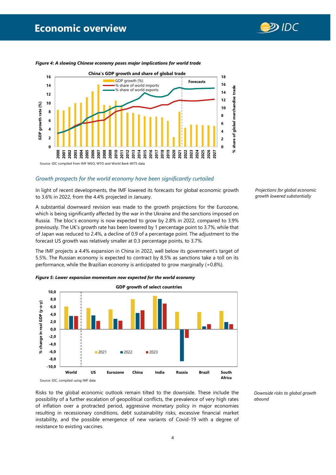



*Figure 4: A slowing Chinese economy poses major implications for world trade* 

# <span id="page-10-0"></span>*Growth prospects for the world economy have been significantly curtailed*

In light of recent developments, the IMF lowered its forecasts for global economic growth to 3.6% in 2022, from the 4.4% projected in January.

A substantial downward revision was made to the growth projections for the Eurozone, which is being significantly affected by the war in the Ukraine and the sanctions imposed on Russia. The bloc's economy is now expected to grow by 2.8% in 2022, compared to 3.9% previously. The UK's growth rate has been lowered by 1 percentage point to 3.7%, while that of Japan was reduced to 2.4%, a decline of 0.9 of a percentage point. The adjustment to the forecast US growth was relatively smaller at 0.3 percentage points, to 3.7%.

The IMF projects a 4.4% expansion in China in 2022, well below its government's target of 5.5%. The Russian economy is expected to contract by 8.5% as sanctions take a toll on its performance, while the Brazilian economy is anticipated to grow marginally (+0.8%).



*Figure 5: Lower expansion momentum now expected for the world economy*

Source: IDC, compiled using IMF data

Risks to the global economic outlook remain tilted to the downside. These include the possibility of a further escalation of geopolitical conflicts, the prevalence of very high rates of inflation over a protracted period, aggressive monetary policy in major economies resulting in recessionary conditions, debt sustainability risks, excessive financial market instability, and the possible emergence of new variants of Covid-19 with a degree of resistance to existing vaccines.

*Downside risks to global growth abound* 

*Projections for global economic growth lowered substantially*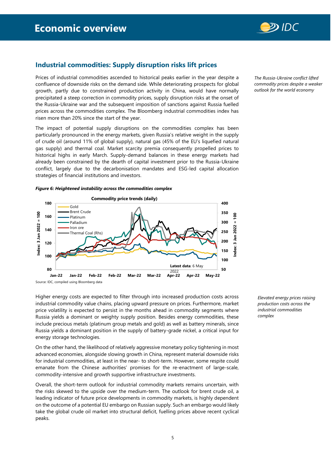

# <span id="page-11-0"></span>**Industrial commodities: Supply disruption risks lift prices**

Prices of industrial commodities ascended to historical peaks earlier in the year despite a confluence of downside risks on the demand side. While deteriorating prospects for global growth, partly due to constrained production activity in China, would have normally precipitated a steep correction in commodity prices, supply disruption risks at the onset of the Russia-Ukraine war and the subsequent imposition of sanctions against Russia fuelled prices across the commodities complex. The Bloomberg industrial commodities index has risen more than 20% since the start of the year.

The impact of potential supply disruptions on the commodities complex has been particularly pronounced in the energy markets, given Russia's relative weight in the supply of crude oil (around 11% of global supply), natural gas (45% of the EU's liquefied natural gas supply) and thermal coal. Market scarcity premia consequently propelled prices to historical highs in early March. Supply-demand balances in these energy markets had already been constrained by the dearth of capital investment prior to the Russia-Ukraine conflict, largely due to the decarbonisation mandates and ESG-led capital allocation strategies of financial institutions and investors.

#### *Figure 6: Heightened instability across the commodities complex*



Higher energy costs are expected to filter through into increased production costs across industrial commodity value chains, placing upward pressure on prices. Furthermore, market price volatility is expected to persist in the months ahead in commodity segments where Russia yields a dominant or weighty supply position. Besides energy commodities, these include precious metals (platinum group metals and gold) as well as battery minerals, since Russia yields a dominant position in the supply of battery-grade nickel, a critical input for energy storage technologies.

On the other hand, the likelihood of relatively aggressive monetary policy tightening in most advanced economies, alongside slowing growth in China, represent material downside risks for industrial commodities, at least in the near- to short-term. However, some respite could emanate from the Chinese authorities' promises for the re-enactment of large-scale, commodity-intensive and growth supportive infrastructure investments.

Overall, the short-term outlook for industrial commodity markets remains uncertain, with the risks skewed to the upside over the medium-term. The outlook for brent crude oil, a leading indicator of future price developments in commodity markets, is highly dependent on the outcome of a potential EU embargo on Russian supply. Such an embargo would likely take the global crude oil market into structural deficit, fuelling prices above recent cyclical peaks.

*Elevated energy prices raising production costs across the industrial commodities complex*

*The Russia-Ukraine conflict lifted commodity prices despite a weaker outlook for the world economy*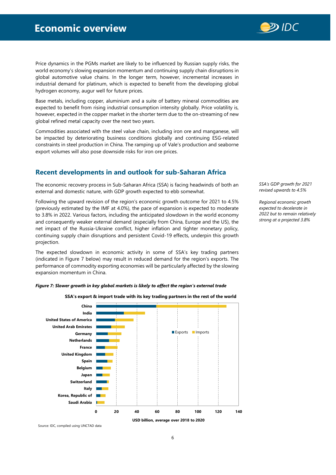

Price dynamics in the PGMs market are likely to be influenced by Russian supply risks, the world economy's slowing expansion momentum and continuing supply chain disruptions in global automotive value chains. In the longer term, however, incremental increases in industrial demand for platinum, which is expected to benefit from the developing global hydrogen economy, augur well for future prices.

Base metals, including copper, aluminium and a suite of battery mineral commodities are expected to benefit from rising industrial consumption intensity globally. Price volatility is, however, expected in the copper market in the shorter term due to the on-streaming of new global refined metal capacity over the next two years.

Commodities associated with the steel value chain, including iron ore and manganese, will be impacted by deteriorating business conditions globally and continuing ESG-related constraints in steel production in China. The ramping up of Vale's production and seaborne export volumes will also pose downside risks for iron ore prices.

# <span id="page-12-0"></span>**Recent developments in and outlook for sub-Saharan Africa**

The economic recovery process in Sub-Saharan Africa (SSA) is facing headwinds of both an external and domestic nature, with GDP growth expected to ebb somewhat.

Following the upward revision of the region's economic growth outcome for 2021 to 4.5% (previously estimated by the IMF at 4.0%), the pace of expansion is expected to moderate to 3.8% in 2022. Various factors, including the anticipated slowdown in the world economy and consequently weaker external demand (especially from China, Europe and the US), the net impact of the Russia-Ukraine conflict, higher inflation and tighter monetary policy, continuing supply chain disruptions and persistent Covid-19 effects, underpin this growth projection.

The expected slowdown in economic activity in some of SSA's key trading partners (indicated in Figure 7 below) may result in reduced demand for the region's exports. The performance of commodity exporting economies will be particularly affected by the slowing expansion momentum in China.

# *Figure 7: Slower growth in key global markets is likely to affect the region's external trade*



**SSA's export & import trade with its key trading partners in the rest of the world** 

Source: IDC, compiled using UNCTAD data

*SSA's GDP growth for 2021 revised upwards to 4.5%* 

*Regional economic growth expected to decelerate in 2022 but to remain relatively strong at a projected 3.8%*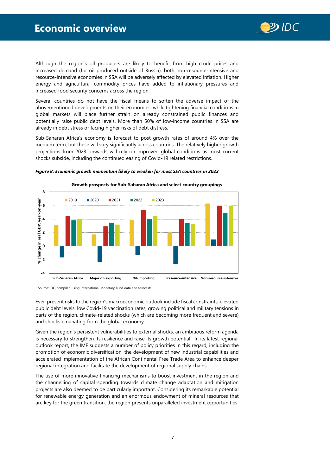

Although the region's oil producers are likely to benefit from high crude prices and increased demand (for oil produced outside of Russia), both non-resource-intensive and resource-intensive economies in SSA will be adversely affected by elevated inflation. Higher energy and agricultural commodity prices have added to inflationary pressures and increased food security concerns across the region.

Several countries do not have the fiscal means to soften the adverse impact of the abovementioned developments on their economies, while tightening financial conditions in global markets will place further strain on already constrained public finances and potentially raise public debt levels. More than 50% of low-income countries in SSA are already in debt stress or facing higher risks of debt distress.

Sub-Saharan Africa's economy is forecast to post growth rates of around 4% over the medium term, but these will vary significantly across countries. The relatively higher growth projections from 2023 onwards will rely on improved global conditions as most current shocks subside, including the continued easing of Covid-19 related restrictions.



*Figure 8: Economic growth momentum likely to weaken for most SSA countries in 2022*

Source: IDC, compiled using International Monetary Fund data and forecasts

Ever-present risks to the region's macroeconomic outlook include fiscal constraints, elevated public debt levels, low Covid-19 vaccination rates, growing political and military tensions in parts of the region, climate-related shocks (which are becoming more frequent and severe) and shocks emanating from the global economy.

Given the region's persistent vulnerabilities to external shocks, an ambitious reform agenda is necessary to strengthen its resilience and raise its growth potential. In its latest regional outlook report, the IMF suggests a number of policy priorities in this regard, including the promotion of economic diversification, the development of new industrial capabilities and accelerated implementation of the African Continental Free Trade Area to enhance deeper regional integration and facilitate the development of regional supply chains.

The use of more innovative financing mechanisms to boost investment in the region and the channelling of capital spending towards climate change adaptation and mitigation projects are also deemed to be particularly important. Considering its remarkable potential for renewable energy generation and an enormous endowment of mineral resources that are key for the green transition, the region presents unparalleled investment opportunities.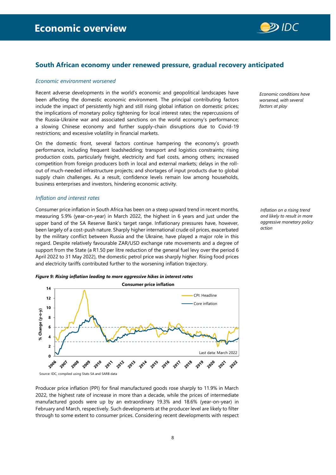

# <span id="page-14-0"></span>**South African economy under renewed pressure, gradual recovery anticipated**

### <span id="page-14-1"></span>*Economic environment worsened*

Recent adverse developments in the world's economic and geopolitical landscapes have been affecting the domestic economic environment. The principal contributing factors include the impact of persistently high and still rising global inflation on domestic prices; the implications of monetary policy tightening for local interest rates; the repercussions of the Russia-Ukraine war and associated sanctions on the world economy's performance; a slowing Chinese economy and further supply-chain disruptions due to Covid-19 restrictions; and excessive volatility in financial markets.

On the domestic front, several factors continue hampering the economy's growth performance, including frequent loadshedding; transport and logistics constraints; rising production costs, particularly freight, electricity and fuel costs, among others; increased competition from foreign producers both in local and external markets; delays in the rollout of much-needed infrastructure projects; and shortages of input products due to global supply chain challenges. As a result, confidence levels remain low among households, business enterprises and investors, hindering economic activity.

#### <span id="page-14-2"></span>*Inflation and interest rates*

Consumer price inflation in South Africa has been on a steep upward trend in recent months, measuring 5.9% (year-on-year) in March 2022, the highest in 6 years and just under the upper band of the SA Reserve Bank's target range. Inflationary pressures have, however, been largely of a cost-push nature. Sharply higher international crude oil prices, exacerbated by the military conflict between Russia and the Ukraine, have played a major role in this regard. Despite relatively favourable ZAR/USD exchange rate movements and a degree of support from the State (a R1.50 per litre reduction of the general fuel levy over the period 6 April 2022 to 31 May 2022), the domestic petrol price was sharply higher. Rising food prices and electricity tariffs contributed further to the worsening inflation trajectory.

# *Figure 9: Rising inflation leading to more aggressive hikes in interest rates*



Source: IDC, compiled using Stats SA and SARB data

Producer price inflation (PPI) for final manufactured goods rose sharply to 11.9% in March 2022, the highest rate of increase in more than a decade, while the prices of intermediate manufactured goods were up by an extraordinary 19.3% and 18.6% (year-on-year) in February and March, respectively. Such developments at the producer level are likely to filter through to some extent to consumer prices. Considering recent developments with respect

*Economic conditions have worsened, with several factors at play*

*Inflation on a rising trend and likely to result in more aggressive monetary policy action*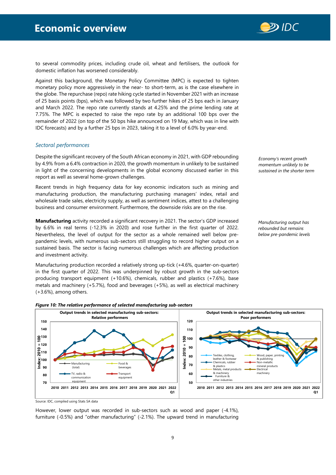

to several commodity prices, including crude oil, wheat and fertilisers, the outlook for domestic inflation has worsened considerably.

Against this background, the Monetary Policy Committee (MPC) is expected to tighten monetary policy more aggressively in the near- to short-term, as is the case elsewhere in the globe. The repurchase (repo) rate hiking cycle started in November 2021 with an increase of 25 basis points (bps), which was followed by two further hikes of 25 bps each in January and March 2022. The repo rate currently stands at 4.25% and the prime lending rate at 7.75%. The MPC is expected to raise the repo rate by an additional 100 bps over the remainder of 2022 (on top of the 50 bps hike announced on 19 May, which was in line with IDC forecasts) and by a further 25 bps in 2023, taking it to a level of 6.0% by year-end.

### <span id="page-15-0"></span>*Sectoral performances*

Despite the significant recovery of the South African economy in 2021, with GDP rebounding by 4.9% from a 6.4% contraction in 2020, the growth momentum in unlikely to be sustained in light of the concerning developments in the global economy discussed earlier in this report as well as several home-grown challenges.

Recent trends in high frequency data for key economic indicators such as mining and manufacturing production, the manufacturing purchasing managers' index, retail and wholesale trade sales, electricity supply, as well as sentiment indices, attest to a challenging business and consumer environment. Furthermore, the downside risks are on the rise.

**Manufacturing** activity recorded a significant recovery in 2021. The sector's GDP increased by 6.6% in real terms (-12.3% in 2020) and rose further in the first quarter of 2022. Nevertheless, the level of output for the sector as a whole remained well below prepandemic levels, with numerous sub-sectors still struggling to record higher output on a sustained basis. The sector is facing numerous challenges which are affecting production and investment activity.

Manufacturing production recorded a relatively strong up-tick (+4.6%, quarter-on-quarter) in the first quarter of 2022. This was underpinned by robust growth in the sub-sectors producing transport equipment (+10.6%), chemicals, rubber and plastics (+7.6%), base metals and machinery (+5.7%), food and beverages (+5%), as well as electrical machinery (+3.6%), among others.

*Economy's recent growth momentum unlikely to be sustained in the shorter term* 

*Manufacturing output has rebounded but remains below pre-pandemic levels*





Source: IDC, compiled using Stats SA data

However, lower output was recorded in sub-sectors such as wood and paper (-4.1%), furniture (-0.5%) and "other manufacturing" (-2.1%). The upward trend in manufacturing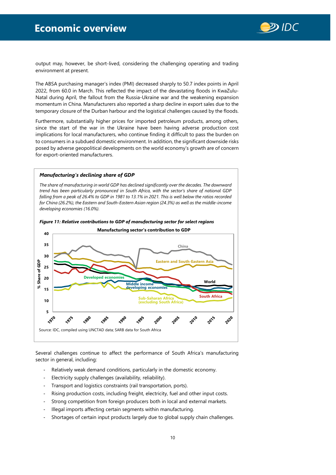

output may, however, be short-lived, considering the challenging operating and trading environment at present.

The ABSA purchasing manager's index (PMI) decreased sharply to 50.7 index points in April 2022, from 60.0 in March. This reflected the impact of the devastating floods in KwaZulu-Natal during April, the fallout from the Russia-Ukraine war and the weakening expansion momentum in China. Manufacturers also reported a sharp decline in export sales due to the temporary closure of the Durban harbour and the logistical challenges caused by the floods.

Furthermore, substantially higher prices for imported petroleum products, among others, since the start of the war in the Ukraine have been having adverse production cost implications for local manufacturers, who continue finding it difficult to pass the burden on to consumers in a subdued domestic environment. In addition, the significant downside risks posed by adverse geopolitical developments on the world economy's growth are of concern for export-oriented manufacturers.

#### *Manufacturing's declining share of GDP*

*The share of manufacturing in world GDP has declined significantly over the decades. The downward trend has been particularly pronounced in South Africa, with the sector's share of national GDP falling from a peak of 26.4% to GDP in 1981 to 13.1% in 2021. This is well below the ratios recorded for China (26.2%), the Eastern and South-Eastern Asian region (24.3%) as well as the middle-income developing economies (16.0%).* 



*Figure 11: Relative contributions to GDP of manufacturing sector for select regions* 

Several challenges continue to affect the performance of South Africa's manufacturing sector in general, including:

- Relatively weak demand conditions, particularly in the domestic economy.
- Electricity supply challenges (availability, reliability).
- Transport and logistics constraints (rail transportation, ports).
- Rising production costs, including freight, electricity, fuel and other input costs.
- Strong competition from foreign producers both in local and external markets.
- Illegal imports affecting certain segments within manufacturing.
- Shortages of certain input products largely due to global supply chain challenges.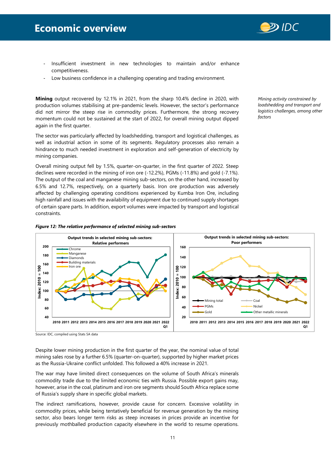

- Insufficient investment in new technologies to maintain and/or enhance competitiveness.
- Low business confidence in a challenging operating and trading environment.

**Mining** output recovered by 12.1% in 2021, from the sharp 10.4% decline in 2020, with production volumes stabilising at pre-pandemic levels. However, the sector's performance did not mirror the steep rise in commodity prices. Furthermore, the strong recovery momentum could not be sustained at the start of 2022, for overall mining output dipped again in the first quarter.

The sector was particularly affected by loadshedding, transport and logistical challenges, as well as industrial action in some of its segments. Regulatory processes also remain a hindrance to much needed investment in exploration and self-generation of electricity by mining companies.

Overall mining output fell by 1.5%, quarter-on-quarter, in the first quarter of 2022. Steep declines were recorded in the mining of iron ore (-12.2%), PGMs (-11.8%) and gold (-7.1%). The output of the coal and manganese mining sub-sectors, on the other hand, increased by 6.5% and 12.7%, respectively, on a quarterly basis. Iron ore production was adversely affected by challenging operating conditions experienced by Kumba Iron Ore, including high rainfall and issues with the availability of equipment due to continued supply shortages of certain spare parts. In addition, export volumes were impacted by transport and logistical constraints.

*Mining activity constrained by loadshedding and transport and logistics challenges, among other factors*





Source: IDC, compiled using Stats SA data

Despite lower mining production in the first quarter of the year, the nominal value of total mining sales rose by a further 6.5% (quarter-on-quarter), supported by higher market prices as the Russia-Ukraine conflict unfolded. This followed a 40% increase in 2021.

The war may have limited direct consequences on the volume of South Africa's minerals commodity trade due to the limited economic ties with Russia. Possible export gains may, however, arise in the coal, platinum and iron ore segments should South Africa replace some of Russia's supply share in specific global markets.

The indirect ramifications, however, provide cause for concern. Excessive volatility in commodity prices, while being tentatively beneficial for revenue generation by the mining sector, also bears longer term risks as steep increases in prices provide an incentive for previously mothballed production capacity elsewhere in the world to resume operations.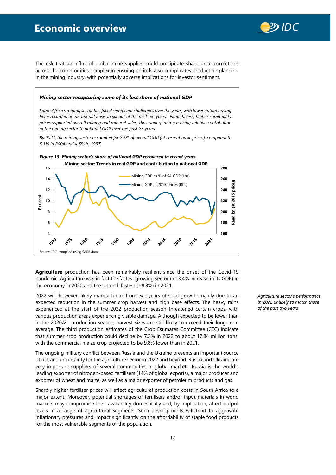# **Economic overview**



The risk that an influx of global mine supplies could precipitate sharp price corrections across the commodities complex in ensuing periods also complicates production planning in the mining industry, with potentially adverse implications for investor sentiment.

# *Mining sector recapturing some of its lost share of national GDP*

*South Africa's mining sector has faced significant challenges over the years, with lower output having been recorded on an annual basis in six out of the past ten years. Nonetheless, higher commodity prices supported overall mining and mineral sales, thus underpinning a rising relative contribution of the mining sector to national GDP over the past 25 years.* 

*By 2021, the mining sector accounted for 8.6% of overall GDP (at current basic prices), compared to 5.1% in 2004 and 4.6% in 1997.*



**Agriculture** production has been remarkably resilient since the onset of the Covid-19 pandemic. Agriculture was in fact the fastest growing sector (a 13.4% increase in its GDP) in the economy in 2020 and the second-fastest (+8.3%) in 2021.

2022 will, however, likely mark a break from two years of solid growth, mainly due to an expected reduction in the summer crop harvest and high base effects. The heavy rains experienced at the start of the 2022 production season threatened certain crops, with various production areas experiencing visible damage. Although expected to be lower than in the 2020/21 production season, harvest sizes are still likely to exceed their long-term average. The third production estimates of the Crop Estimates Committee (CEC) indicate that summer crop production could decline by 7.2% in 2022 to about 17.84 million tons, with the commercial maize crop projected to be 9.8% lower than in 2021.

The ongoing military conflict between Russia and the Ukraine presents an important source of risk and uncertainty for the agriculture sector in 2022 and beyond. Russia and Ukraine are very important suppliers of several commodities in global markets. Russia is the world's leading exporter of nitrogen-based fertilisers (14% of global exports), a major producer and exporter of wheat and maize, as well as a major exporter of petroleum products and gas.

Sharply higher fertiliser prices will affect agricultural production costs in South Africa to a major extent. Moreover, potential shortages of fertilisers and/or input materials in world markets may compromise their availability domestically and, by implication, affect output levels in a range of agricultural segments. Such developments will tend to aggravate inflationary pressures and impact significantly on the affordability of staple food products for the most vulnerable segments of the population.

*Agriculture sector's performance in 2022 unlikely to match those of the past two years*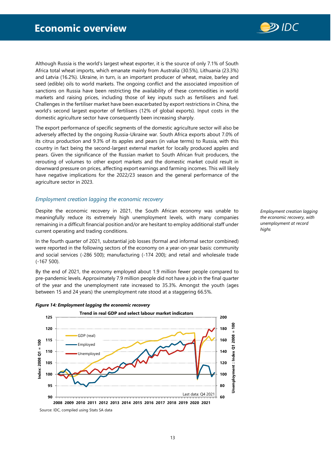

Although Russia is the world's largest wheat exporter, it is the source of only 7.1% of South Africa total wheat imports, which emanate mainly from Australia (30.5%), Lithuania (23.3%) and Latvia (16.2%). Ukraine, in turn, is an important producer of wheat, maize, barley and seed (edible) oils to world markets. The ongoing conflict and the associated imposition of sanctions on Russia have been restricting the availability of these commodities in world markets and raising prices, including those of key inputs such as fertilisers and fuel. Challenges in the fertiliser market have been exacerbated by export restrictions in China, the world's second largest exporter of fertilisers (12% of global exports). Input costs in the domestic agriculture sector have consequently been increasing sharply.

The export performance of specific segments of the domestic agriculture sector will also be adversely affected by the ongoing Russia-Ukraine war. South Africa exports about 7.0% of its citrus production and 9.3% of its apples and pears (in value terms) to Russia, with this country in fact being the second-largest external market for locally produced apples and pears. Given the significance of the Russian market to South African fruit producers, the rerouting of volumes to other export markets and the domestic market could result in downward pressure on prices, affecting export earnings and farming incomes. This will likely have negative implications for the 2022/23 season and the general performance of the agriculture sector in 2023.

# <span id="page-19-0"></span>*Employment creation lagging the economic recovery*

Despite the economic recovery in 2021, the South African economy was unable to meaningfully reduce its extremely high unemployment levels, with many companies remaining in a difficult financial position and/or are hesitant to employ additional staff under current operating and trading conditions.

In the fourth quarter of 2021, substantial job losses (formal and informal sector combined) were reported in the following sectors of the economy on a year-on-year basis: community and social services (-286 500); manufacturing (-174 200); and retail and wholesale trade (-167 500).

By the end of 2021, the economy employed about 1.9 million fewer people compared to pre-pandemic levels. Approximately 7.9 million people did not have a job in the final quarter of the year and the unemployment rate increased to 35.3%. Amongst the youth (ages between 15 and 24 years) the unemployment rate stood at a staggering 66.5%.



*the economic recovery, with unemployment at record highs*

*Employment creation lagging*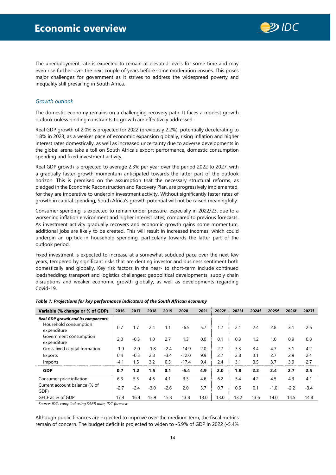

The unemployment rate is expected to remain at elevated levels for some time and may even rise further over the next couple of years before some moderation ensues. This poses major challenges for government as it strives to address the widespread poverty and inequality still prevailing in South Africa.

# <span id="page-20-0"></span>*Growth outlook*

The domestic economy remains on a challenging recovery path. It faces a modest growth outlook unless binding constraints to growth are effectively addressed.

Real GDP growth of 2.0% is projected for 2022 (previously 2.2%), potentially decelerating to 1.8% in 2023, as a weaker pace of economic expansion globally, rising inflation and higher interest rates domestically, as well as increased uncertainty due to adverse developments in the global arena take a toll on South Africa's export performance, domestic consumption spending and fixed investment activity.

Real GDP growth is projected to average 2.3% per year over the period 2022 to 2027, with a gradually faster growth momentum anticipated towards the latter part of the outlook horizon. This is premised on the assumption that the necessary structural reforms, as pledged in the Economic Reconstruction and Recovery Plan, are progressively implemented, for they are imperative to underpin investment activity. Without significantly faster rates of growth in capital spending, South Africa's growth potential will not be raised meaningfully.

Consumer spending is expected to remain under pressure, especially in 2022/23, due to a worsening inflation environment and higher interest rates, compared to previous forecasts. As investment activity gradually recovers and economic growth gains some momentum, additional jobs are likely to be created. This will result in increased incomes, which could underpin an up-tick in household spending, particularly towards the latter part of the outlook period.

Fixed investment is expected to increase at a somewhat subdued pace over the next few years, tempered by significant risks that are denting investor and business sentiment both domestically and globally. Key risk factors in the near- to short-term include continued loadshedding; transport and logistics challenges; geopolitical developments, supply chain disruptions and weaker economic growth globally, as well as developments regarding Covid-19.

| Variable (% change or % of GDP)                                                    | 2016   | 2017   | 2018   | 2019   | 2020    | 2021 | 2022f | 2023f | 2024f | 2025f  | 2026f  | 2027f  |
|------------------------------------------------------------------------------------|--------|--------|--------|--------|---------|------|-------|-------|-------|--------|--------|--------|
| <b>Real GDP growth and its components:</b><br>Household consumption<br>expenditure | 0.7    | 1.7    | 2.4    | 1.1    | $-6.5$  | 5.7  | 1.7   | 2.1   | 2.4   | 2.8    | 3.1    | 2.6    |
| Government consumption<br>expenditure                                              | 2.0    | $-0.3$ | 1.0    | 2.7    | 1.3     | 0.0  | 0.1   | 0.3   | 1.2   | 1.0    | 0.9    | 0.8    |
| Gross fixed capital formation                                                      | $-1.9$ | $-2.0$ | $-1.8$ | $-2.4$ | $-14.9$ | 2.0  | 2.7   | 3.3   | 3.4   | 4.7    | 5.1    | 4.2    |
| Exports                                                                            | 0.4    | $-0.3$ | 2.8    | $-3.4$ | $-12.0$ | 9.9  | 2.7   | 2.8   | 3.1   | 2.7    | 2.9    | 2.4    |
| Imports                                                                            | $-4.1$ | 1.5    | 3.2    | 0.5    | $-17.4$ | 9.4  | 2.4   | 3.1   | 3.5   | 3.7    | 3.9    | 2.7    |
| <b>GDP</b>                                                                         | 0.7    | 1.2    | 1.5    | 0.1    | $-6.4$  | 4.9  | 2.0   | 1.8   | 2.2   | 2.4    | 2.7    | 2.5    |
| Consumer price inflation                                                           | 6.3    | 5.3    | 4.6    | 4.1    | 3.3     | 4.6  | 6.2   | 5.4   | 4.2   | 4.5    | 4.3    | 4.1    |
| Current account balance (% of<br>GDP)                                              | $-2.7$ | $-2.4$ | $-3.0$ | $-2.6$ | 2.0     | 3.7  | 0.7   | 0.6   | 0.1   | $-1.0$ | $-2.2$ | $-3.4$ |
| GFCF as % of GDP                                                                   | 17.4   | 16.4   | 15.9   | 15.3   | 13.8    | 13.0 | 13.0  | 13.2  | 13.6  | 14.0   | 14.5   | 14.8   |

*Table 1: Projections for key performance indicators of the South African economy*

*Source: IDC, compiled using SARB data, IDC forecasts*

Although public finances are expected to improve over the medium-term, the fiscal metrics remain of concern. The budget deficit is projected to widen to -5.9% of GDP in 2022 (-5.4%